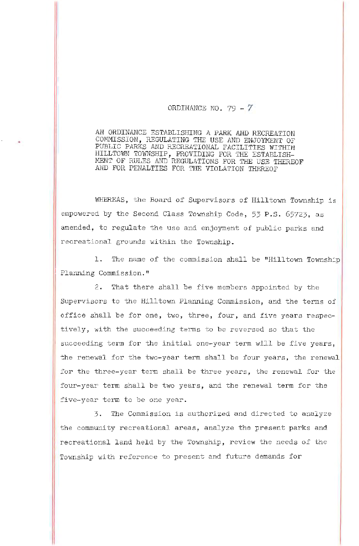## ORDINANCE NO. 79 -  $\tilde{7}$

AN ORDINANCE ESTABLISHING A PARK AND RECREATION COMMISSION, REGULATING THE USE *AND* ENJOYMENT OF PUBLIC PARKS AND RECREATIONAL FACILITIES WITHIN HILLTOWN TOWNSHIP, PROVIDING FOR THE ESTABLISH-MENT OF RULES AND REGULATIONS FOR THE USE THEREOF AND FOR PENALTIES FOR THE VIOLATION THEREOF

WHEREAS, the Board of Supervisors of Hilltown Township is empowered by the Second Class Township Code, 53 P.S. 65723, as amended, to regulate the use and enjoyment of public parks and recreational grounds within the Township.

1. The name of the commission shall be "Hilltown Township Planning Commission.<sup>11</sup>

2. That there shall be five members appointed by the Supervisors to the Hilltown Planning Commission, and the terms of office shall be for one, two, three, four, and five years respectively, with the succeeding terms to be reversed so that the succeeding term for the initial one-year term will be five years, the renewal for the two-year term shall be four years, the renewal for the three-year term shall be three years, the renewal for the four-year term shall be two years, and the renewal term for the five-year term to be one year.

3. The Commission is authorized and directed to analyze the community recreational areas, analyze the present parks and recreational land held by the Township, review the needs of the Township with reference to present and future demands for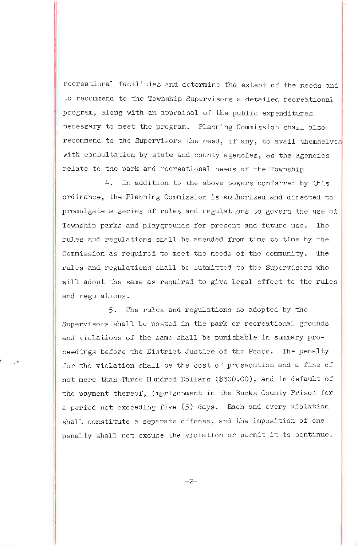recreational facilities and determine the extent of the needs and to recommend to the Township Supervisors a detailed recreational program, along with an appraisal of the public expenditures necessary to meet the program. Planning Commission shall also recommend to the Supervisors the need, if any, to avail themselves with consultation by state and county agencies, as the agencies relate to the park and recreational needs of the Township

4. In addition to the above powers conferred by this ordinance, the Planning Commission is authorized and directed to promulgate a series of rules and regulations to govern the use of Township parks and playgrounds for present and future use. The rules and regulations shall be amended from time to time by the Commission as required to meet the needs of the community. The rules and regulations shall be submitted to the Supervisors who will adopt the same as required to give legal effect to the rules and regulations.

5. The rules and regulations so adopted by the Supervisors shall be posted in the park or recreational grounds and violations of the same shall be punishable in summary proceedings before the District Justice of the Peace. The penalty for the violation shall be the cost of prosecution and a fine of not more than Three Hundred Dollars (\$300.00), and in default of the payment thereof, imprisonment in the Bucks County Prison for a period not exceeding five (5) days. Each and every violation shall constitute a separate offense, and the imposition of one penalty shall not excuse the violation or permit it to continue.